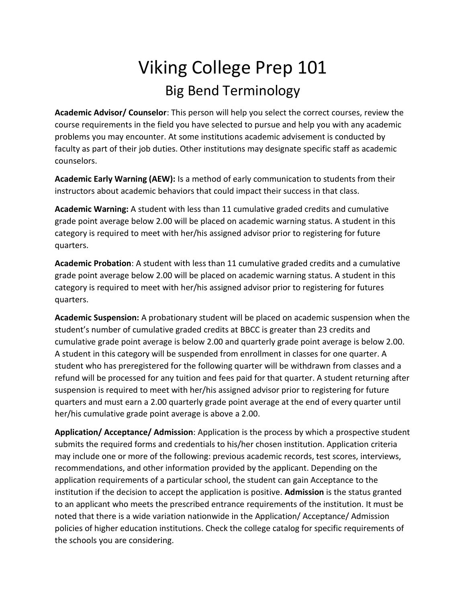## Viking College Prep 101 Big Bend Terminology

**Academic Advisor/ Counselor**: This person will help you select the correct courses, review the course requirements in the field you have selected to pursue and help you with any academic problems you may encounter. At some institutions academic advisement is conducted by faculty as part of their job duties. Other institutions may designate specific staff as academic counselors.

**Academic Early Warning (AEW):** Is a method of early communication to students from their instructors about academic behaviors that could impact their success in that class.

**Academic Warning:** A student with less than 11 cumulative graded credits and cumulative grade point average below 2.00 will be placed on academic warning status. A student in this category is required to meet with her/his assigned advisor prior to registering for future quarters.

**Academic Probation**: A student with less than 11 cumulative graded credits and a cumulative grade point average below 2.00 will be placed on academic warning status. A student in this category is required to meet with her/his assigned advisor prior to registering for futures quarters.

**Academic Suspension:** A probationary student will be placed on academic suspension when the student's number of cumulative graded credits at BBCC is greater than 23 credits and cumulative grade point average is below 2.00 and quarterly grade point average is below 2.00. A student in this category will be suspended from enrollment in classes for one quarter. A student who has preregistered for the following quarter will be withdrawn from classes and a refund will be processed for any tuition and fees paid for that quarter. A student returning after suspension is required to meet with her/his assigned advisor prior to registering for future quarters and must earn a 2.00 quarterly grade point average at the end of every quarter until her/his cumulative grade point average is above a 2.00.

**Application/ Acceptance/ Admission**: Application is the process by which a prospective student submits the required forms and credentials to his/her chosen institution. Application criteria may include one or more of the following: previous academic records, test scores, interviews, recommendations, and other information provided by the applicant. Depending on the application requirements of a particular school, the student can gain Acceptance to the institution if the decision to accept the application is positive. **Admission** is the status granted to an applicant who meets the prescribed entrance requirements of the institution. It must be noted that there is a wide variation nationwide in the Application/ Acceptance/ Admission policies of higher education institutions. Check the college catalog for specific requirements of the schools you are considering.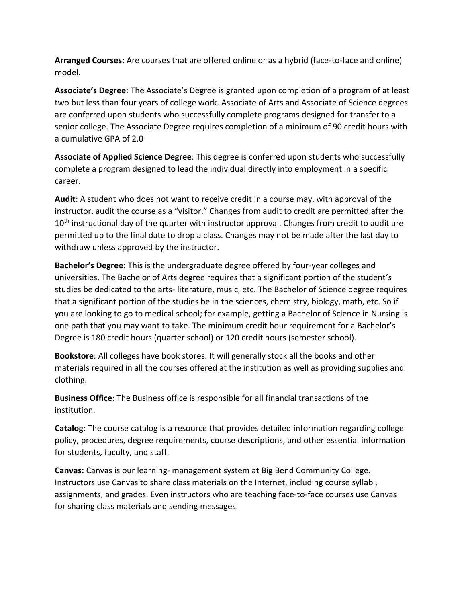**Arranged Courses:** Are courses that are offered online or as a hybrid (face-to-face and online) model.

**Associate's Degree**: The Associate's Degree is granted upon completion of a program of at least two but less than four years of college work. Associate of Arts and Associate of Science degrees are conferred upon students who successfully complete programs designed for transfer to a senior college. The Associate Degree requires completion of a minimum of 90 credit hours with a cumulative GPA of 2.0

**Associate of Applied Science Degree**: This degree is conferred upon students who successfully complete a program designed to lead the individual directly into employment in a specific career.

**Audit**: A student who does not want to receive credit in a course may, with approval of the instructor, audit the course as a "visitor." Changes from audit to credit are permitted after the  $10<sup>th</sup>$  instructional day of the quarter with instructor approval. Changes from credit to audit are permitted up to the final date to drop a class. Changes may not be made after the last day to withdraw unless approved by the instructor.

**Bachelor's Degree**: This is the undergraduate degree offered by four-year colleges and universities. The Bachelor of Arts degree requires that a significant portion of the student's studies be dedicated to the arts- literature, music, etc. The Bachelor of Science degree requires that a significant portion of the studies be in the sciences, chemistry, biology, math, etc. So if you are looking to go to medical school; for example, getting a Bachelor of Science in Nursing is one path that you may want to take. The minimum credit hour requirement for a Bachelor's Degree is 180 credit hours (quarter school) or 120 credit hours (semester school).

**Bookstore**: All colleges have book stores. It will generally stock all the books and other materials required in all the courses offered at the institution as well as providing supplies and clothing.

**Business Office**: The Business office is responsible for all financial transactions of the institution.

**Catalog**: The course catalog is a resource that provides detailed information regarding college policy, procedures, degree requirements, course descriptions, and other essential information for students, faculty, and staff.

**Canvas:** Canvas is our learning- management system at Big Bend Community College. Instructors use Canvas to share class materials on the Internet, including course syllabi, assignments, and grades. Even instructors who are teaching face-to-face courses use Canvas for sharing class materials and sending messages.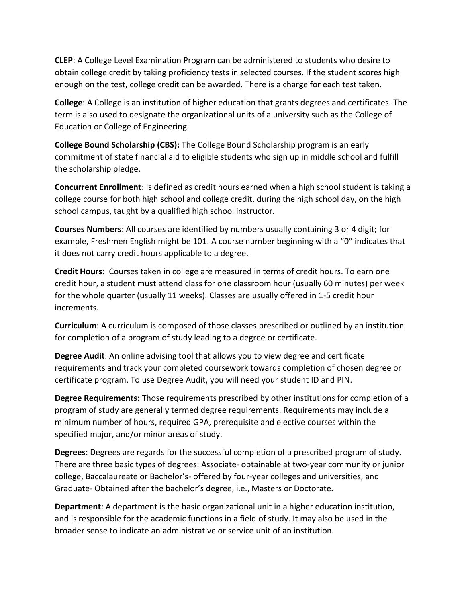**CLEP**: A College Level Examination Program can be administered to students who desire to obtain college credit by taking proficiency tests in selected courses. If the student scores high enough on the test, college credit can be awarded. There is a charge for each test taken.

**College**: A College is an institution of higher education that grants degrees and certificates. The term is also used to designate the organizational units of a university such as the College of Education or College of Engineering.

**College Bound Scholarship (CBS):** The College Bound Scholarship program is an early commitment of state financial aid to eligible students who sign up in middle school and fulfill the scholarship pledge.

**Concurrent Enrollment**: Is defined as credit hours earned when a high school student is taking a college course for both high school and college credit, during the high school day, on the high school campus, taught by a qualified high school instructor.

**Courses Numbers**: All courses are identified by numbers usually containing 3 or 4 digit; for example, Freshmen English might be 101. A course number beginning with a "0" indicates that it does not carry credit hours applicable to a degree.

**Credit Hours:** Courses taken in college are measured in terms of credit hours. To earn one credit hour, a student must attend class for one classroom hour (usually 60 minutes) per week for the whole quarter (usually 11 weeks). Classes are usually offered in 1-5 credit hour increments.

**Curriculum**: A curriculum is composed of those classes prescribed or outlined by an institution for completion of a program of study leading to a degree or certificate.

**Degree Audit**: An online advising tool that allows you to view degree and certificate requirements and track your completed coursework towards completion of chosen degree or certificate program. To use Degree Audit, you will need your student ID and PIN.

**Degree Requirements:** Those requirements prescribed by other institutions for completion of a program of study are generally termed degree requirements. Requirements may include a minimum number of hours, required GPA, prerequisite and elective courses within the specified major, and/or minor areas of study.

**Degrees**: Degrees are regards for the successful completion of a prescribed program of study. There are three basic types of degrees: Associate- obtainable at two-year community or junior college, Baccalaureate or Bachelor's- offered by four-year colleges and universities, and Graduate- Obtained after the bachelor's degree, i.e., Masters or Doctorate.

**Department**: A department is the basic organizational unit in a higher education institution, and is responsible for the academic functions in a field of study. It may also be used in the broader sense to indicate an administrative or service unit of an institution.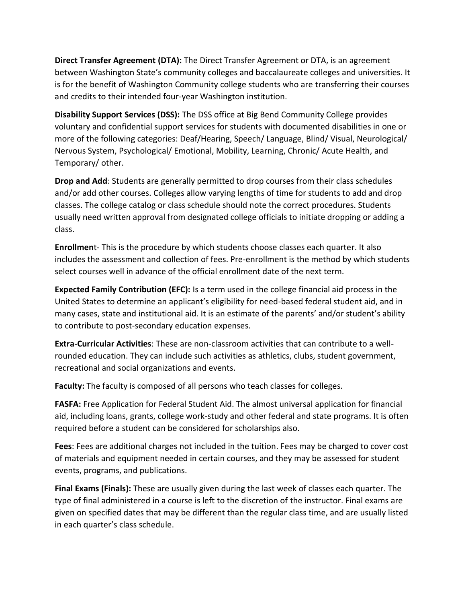**Direct Transfer Agreement (DTA):** The Direct Transfer Agreement or DTA, is an agreement between Washington State's community colleges and baccalaureate colleges and universities. It is for the benefit of Washington Community college students who are transferring their courses and credits to their intended four-year Washington institution.

**Disability Support Services (DSS):** The DSS office at Big Bend Community College provides voluntary and confidential support services for students with documented disabilities in one or more of the following categories: Deaf/Hearing, Speech/ Language, Blind/ Visual, Neurological/ Nervous System, Psychological/ Emotional, Mobility, Learning, Chronic/ Acute Health, and Temporary/ other.

**Drop and Add**: Students are generally permitted to drop courses from their class schedules and/or add other courses. Colleges allow varying lengths of time for students to add and drop classes. The college catalog or class schedule should note the correct procedures. Students usually need written approval from designated college officials to initiate dropping or adding a class.

**Enrollmen**t- This is the procedure by which students choose classes each quarter. It also includes the assessment and collection of fees. Pre-enrollment is the method by which students select courses well in advance of the official enrollment date of the next term.

**Expected Family Contribution (EFC):** Is a term used in the college financial aid process in the United States to determine an applicant's eligibility for need-based federal student aid, and in many cases, state and institutional aid. It is an estimate of the parents' and/or student's ability to contribute to post-secondary education expenses.

**Extra-Curricular Activities**: These are non-classroom activities that can contribute to a wellrounded education. They can include such activities as athletics, clubs, student government, recreational and social organizations and events.

**Faculty:** The faculty is composed of all persons who teach classes for colleges.

**FASFA:** Free Application for Federal Student Aid. The almost universal application for financial aid, including loans, grants, college work-study and other federal and state programs. It is often required before a student can be considered for scholarships also.

**Fees**: Fees are additional charges not included in the tuition. Fees may be charged to cover cost of materials and equipment needed in certain courses, and they may be assessed for student events, programs, and publications.

**Final Exams (Finals):** These are usually given during the last week of classes each quarter. The type of final administered in a course is left to the discretion of the instructor. Final exams are given on specified dates that may be different than the regular class time, and are usually listed in each quarter's class schedule.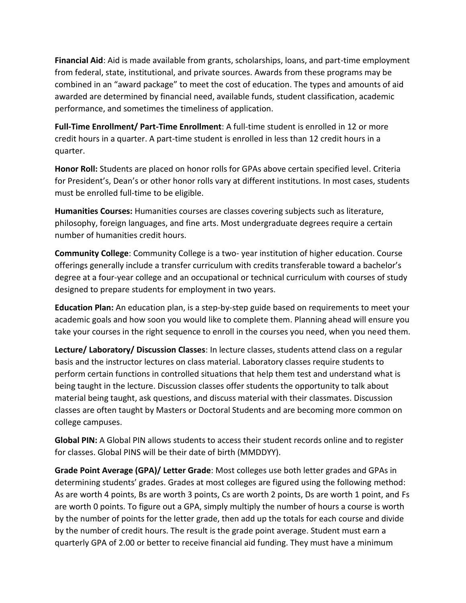**Financial Aid**: Aid is made available from grants, scholarships, loans, and part-time employment from federal, state, institutional, and private sources. Awards from these programs may be combined in an "award package" to meet the cost of education. The types and amounts of aid awarded are determined by financial need, available funds, student classification, academic performance, and sometimes the timeliness of application.

**Full-Time Enrollment/ Part-Time Enrollment**: A full-time student is enrolled in 12 or more credit hours in a quarter. A part-time student is enrolled in less than 12 credit hours in a quarter.

**Honor Roll:** Students are placed on honor rolls for GPAs above certain specified level. Criteria for President's, Dean's or other honor rolls vary at different institutions. In most cases, students must be enrolled full-time to be eligible.

**Humanities Courses:** Humanities courses are classes covering subjects such as literature, philosophy, foreign languages, and fine arts. Most undergraduate degrees require a certain number of humanities credit hours.

**Community College**: Community College is a two- year institution of higher education. Course offerings generally include a transfer curriculum with credits transferable toward a bachelor's degree at a four-year college and an occupational or technical curriculum with courses of study designed to prepare students for employment in two years.

**Education Plan:** An education plan, is a step-by-step guide based on requirements to meet your academic goals and how soon you would like to complete them. Planning ahead will ensure you take your courses in the right sequence to enroll in the courses you need, when you need them.

**Lecture/ Laboratory/ Discussion Classes**: In lecture classes, students attend class on a regular basis and the instructor lectures on class material. Laboratory classes require students to perform certain functions in controlled situations that help them test and understand what is being taught in the lecture. Discussion classes offer students the opportunity to talk about material being taught, ask questions, and discuss material with their classmates. Discussion classes are often taught by Masters or Doctoral Students and are becoming more common on college campuses.

**Global PIN:** A Global PIN allows students to access their student records online and to register for classes. Global PINS will be their date of birth (MMDDYY).

**Grade Point Average (GPA)/ Letter Grade**: Most colleges use both letter grades and GPAs in determining students' grades. Grades at most colleges are figured using the following method: As are worth 4 points, Bs are worth 3 points, Cs are worth 2 points, Ds are worth 1 point, and Fs are worth 0 points. To figure out a GPA, simply multiply the number of hours a course is worth by the number of points for the letter grade, then add up the totals for each course and divide by the number of credit hours. The result is the grade point average. Student must earn a quarterly GPA of 2.00 or better to receive financial aid funding. They must have a minimum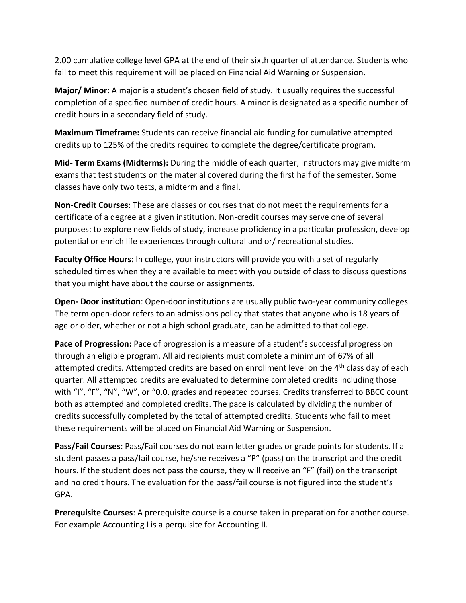2.00 cumulative college level GPA at the end of their sixth quarter of attendance. Students who fail to meet this requirement will be placed on Financial Aid Warning or Suspension.

**Major/ Minor:** A major is a student's chosen field of study. It usually requires the successful completion of a specified number of credit hours. A minor is designated as a specific number of credit hours in a secondary field of study.

**Maximum Timeframe:** Students can receive financial aid funding for cumulative attempted credits up to 125% of the credits required to complete the degree/certificate program.

**Mid- Term Exams (Midterms):** During the middle of each quarter, instructors may give midterm exams that test students on the material covered during the first half of the semester. Some classes have only two tests, a midterm and a final.

**Non-Credit Courses**: These are classes or courses that do not meet the requirements for a certificate of a degree at a given institution. Non-credit courses may serve one of several purposes: to explore new fields of study, increase proficiency in a particular profession, develop potential or enrich life experiences through cultural and or/ recreational studies.

**Faculty Office Hours:** In college, your instructors will provide you with a set of regularly scheduled times when they are available to meet with you outside of class to discuss questions that you might have about the course or assignments.

**Open- Door institution**: Open-door institutions are usually public two-year community colleges. The term open-door refers to an admissions policy that states that anyone who is 18 years of age or older, whether or not a high school graduate, can be admitted to that college.

**Pace of Progression:** Pace of progression is a measure of a student's successful progression through an eligible program. All aid recipients must complete a minimum of 67% of all attempted credits. Attempted credits are based on enrollment level on the 4<sup>th</sup> class day of each quarter. All attempted credits are evaluated to determine completed credits including those with "I", "F", "N", "W", or "0.0. grades and repeated courses. Credits transferred to BBCC count both as attempted and completed credits. The pace is calculated by dividing the number of credits successfully completed by the total of attempted credits. Students who fail to meet these requirements will be placed on Financial Aid Warning or Suspension.

**Pass/Fail Courses**: Pass/Fail courses do not earn letter grades or grade points for students. If a student passes a pass/fail course, he/she receives a "P" (pass) on the transcript and the credit hours. If the student does not pass the course, they will receive an "F" (fail) on the transcript and no credit hours. The evaluation for the pass/fail course is not figured into the student's GPA.

**Prerequisite Courses**: A prerequisite course is a course taken in preparation for another course. For example Accounting I is a perquisite for Accounting II.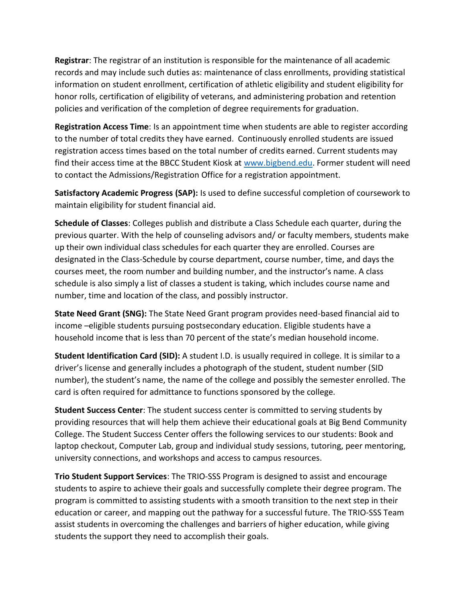**Registrar**: The registrar of an institution is responsible for the maintenance of all academic records and may include such duties as: maintenance of class enrollments, providing statistical information on student enrollment, certification of athletic eligibility and student eligibility for honor rolls, certification of eligibility of veterans, and administering probation and retention policies and verification of the completion of degree requirements for graduation.

**Registration Access Time**: Is an appointment time when students are able to register according to the number of total credits they have earned. Continuously enrolled students are issued registration access times based on the total number of credits earned. Current students may find their access time at the BBCC Student Kiosk at [www.bigbend.edu.](http://www.bigbend.edu/) Former student will need to contact the Admissions/Registration Office for a registration appointment.

**Satisfactory Academic Progress (SAP):** Is used to define successful completion of coursework to maintain eligibility for student financial aid.

**Schedule of Classes**: Colleges publish and distribute a Class Schedule each quarter, during the previous quarter. With the help of counseling advisors and/ or faculty members, students make up their own individual class schedules for each quarter they are enrolled. Courses are designated in the Class-Schedule by course department, course number, time, and days the courses meet, the room number and building number, and the instructor's name. A class schedule is also simply a list of classes a student is taking, which includes course name and number, time and location of the class, and possibly instructor.

**State Need Grant (SNG):** The State Need Grant program provides need-based financial aid to income –eligible students pursuing postsecondary education. Eligible students have a household income that is less than 70 percent of the state's median household income.

**Student Identification Card (SID):** A student I.D. is usually required in college. It is similar to a driver's license and generally includes a photograph of the student, student number (SID number), the student's name, the name of the college and possibly the semester enrolled. The card is often required for admittance to functions sponsored by the college.

**Student Success Center**: The student success center is committed to serving students by providing resources that will help them achieve their educational goals at Big Bend Community College. The Student Success Center offers the following services to our students: Book and laptop checkout, Computer Lab, group and individual study sessions, tutoring, peer mentoring, university connections, and workshops and access to campus resources.

**Trio Student Support Services**: The TRIO-SSS Program is designed to assist and encourage students to aspire to achieve their goals and successfully complete their degree program. The program is committed to assisting students with a smooth transition to the next step in their education or career, and mapping out the pathway for a successful future. The TRIO-SSS Team assist students in overcoming the challenges and barriers of higher education, while giving students the support they need to accomplish their goals.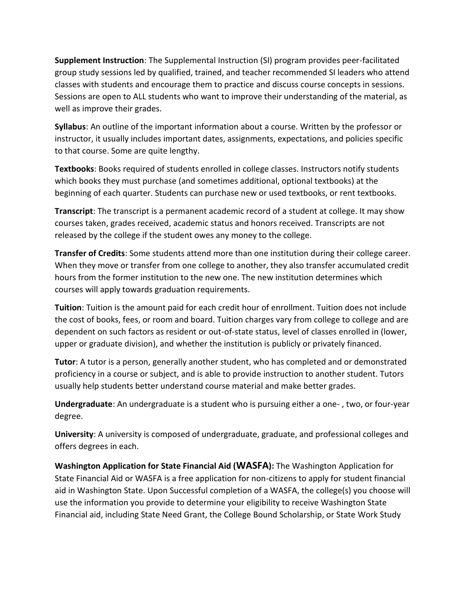**Supplement Instruction**: The Supplemental Instruction (SI) program provides peer-facilitated group study sessions led by qualified, trained, and teacher recommended SI leaders who attend classes with students and encourage them to practice and discuss course concepts in sessions. Sessions are open to ALL students who want to improve their understanding of the material, as well as improve their grades.

**Syllabus**: An outline of the important information about a course. Written by the professor or instructor, it usually includes important dates, assignments, expectations, and policies specific to that course. Some are quite lengthy.

**Textbooks**: Books required of students enrolled in college classes. Instructors notify students which books they must purchase (and sometimes additional, optional textbooks) at the beginning of each quarter. Students can purchase new or used textbooks, or rent textbooks.

**Transcript**: The transcript is a permanent academic record of a student at college. It may show courses taken, grades received, academic status and honors received. Transcripts are not released by the college if the student owes any money to the college.

**Transfer of Credits**: Some students attend more than one institution during their college career. When they move or transfer from one college to another, they also transfer accumulated credit hours from the former institution to the new one. The new institution determines which courses will apply towards graduation requirements.

**Tuition**: Tuition is the amount paid for each credit hour of enrollment. Tuition does not include the cost of books, fees, or room and board. Tuition charges vary from college to college and are dependent on such factors as resident or out-of-state status, level of classes enrolled in (lower, upper or graduate division), and whether the institution is publicly or privately financed.

**Tutor**: A tutor is a person, generally another student, who has completed and or demonstrated proficiency in a course or subject, and is able to provide instruction to another student. Tutors usually help students better understand course material and make better grades.

**Undergraduate**: An undergraduate is a student who is pursuing either a one- , two, or four-year degree.

**University**: A university is composed of undergraduate, graduate, and professional colleges and offers degrees in each.

**Washington Application for State Financial Aid (WASFA):** The Washington Application for State Financial Aid or WASFA is a free application for non-citizens to apply for student financial aid in Washington State. Upon Successful completion of a WASFA, the college(s) you choose will use the information you provide to determine your eligibility to receive Washington State Financial aid, including State Need Grant, the College Bound Scholarship, or State Work Study